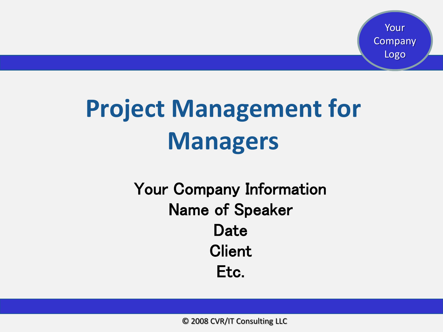# **Project Management for Managers**

#### Your Company Information Name of Speaker Date **Client** Etc.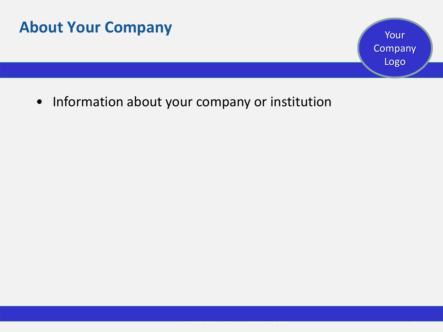

Your Company Logo

*© 2008-2013 CVR/IT Consulting LLC* 2

• Information about your company or institution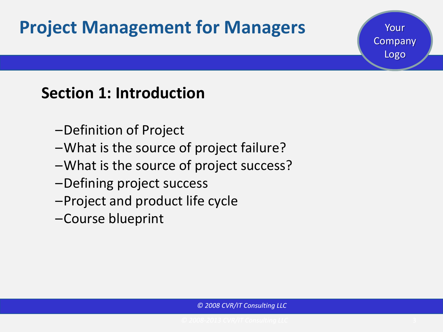### **Project Management for Managers 1996 Mour**

#### **Section 1: Introduction**

- –Definition of Project
- –What is the source of project failure?
- –What is the source of project success?
- –Defining project success
- –Project and product life cycle
- –Course blueprint

Company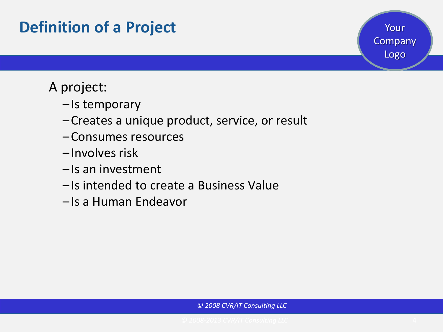#### **Definition of a Project**

#### A project:

- Is temporary
- –Creates a unique product, service, or result
- –Consumes resources
- Involves risk
- Is an investment
- Is intended to create a Business Value
- –Is a Human Endeavor

Your

Company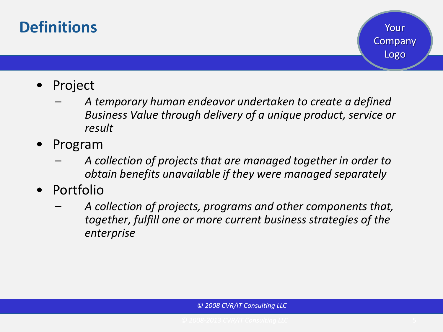#### **Definitions**

- Project
	- *A temporary human endeavor undertaken to create a defined Business Value through delivery of a unique product, service or result*
- Program
	- *A collection of projects that are managed together in order to obtain benefits unavailable if they were managed separately*
- Portfolio
	- *A collection of projects, programs and other components that, together, fulfill one or more current business strategies of the enterprise*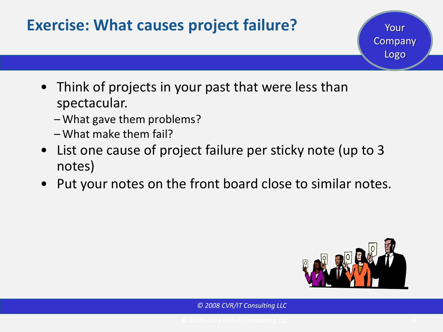#### • Think of projects in your past that were less than spectacular. – What gave them problems? – What make them fail? • List one cause of project failure per sticky note (up to 3 notes) **Exercise: What causes project failure?** Your Company Logo

• Put your notes on the front board close to similar notes.

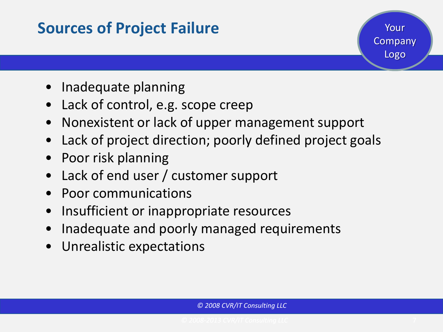#### **Sources of Project Failure**

Your Company Logo

- Inadequate planning
- Lack of control, e.g. scope creep
- Nonexistent or lack of upper management support
- Lack of project direction; poorly defined project goals
- Poor risk planning
- Lack of end user / customer support
- Poor communications
- Insufficient or inappropriate resources
- Inadequate and poorly managed requirements
- Unrealistic expectations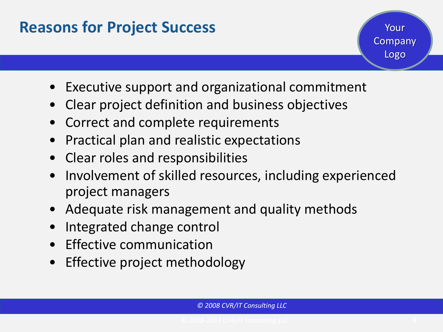#### **Reasons for Project Success**

- Your Company Logo
- Executive support and organizational commitment
- Clear project definition and business objectives
- Correct and complete requirements
- Practical plan and realistic expectations
- Clear roles and responsibilities
- Involvement of skilled resources, including experienced project managers
- Adequate risk management and quality methods
- Integrated change control
- **Effective communication**
- Effective project methodology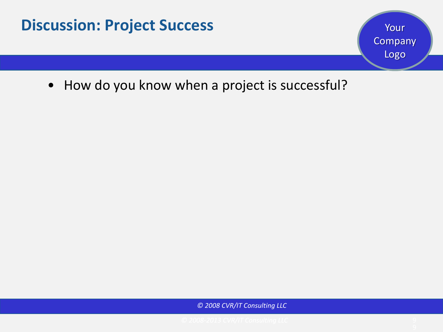• How do you know when a project is successful?

*© 2008 CVR/IT Consulting LLC*

Your

**Company**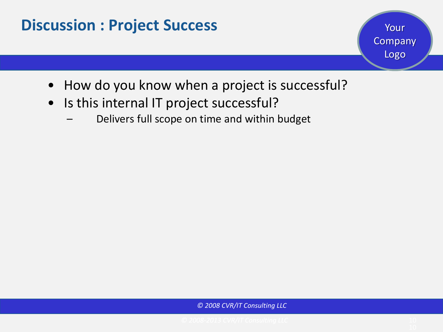- How do you know when a project is successful?
- Is this internal IT project successful?
	- Delivers full scope on time and within budget

*© 2008 CVR/IT Consulting LLC*

Your

Company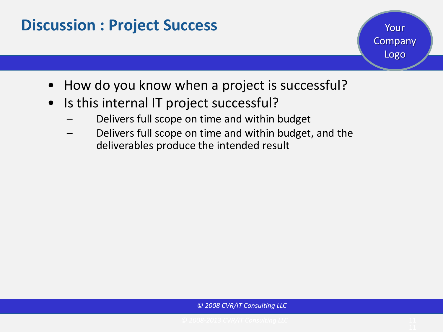- Your Company Logo
- How do you know when a project is successful?
- Is this internal IT project successful?
	- Delivers full scope on time and within budget
	- Delivers full scope on time and within budget, and the deliverables produce the intended result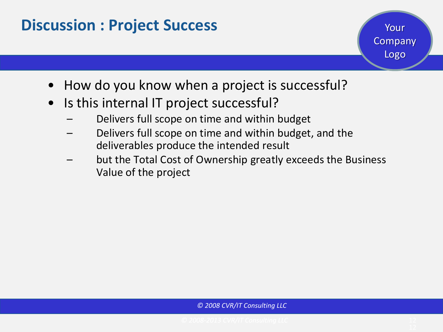- Your Company Logo
- How do you know when a project is successful?
- Is this internal IT project successful?
	- Delivers full scope on time and within budget
	- Delivers full scope on time and within budget, and the deliverables produce the intended result
	- but the Total Cost of Ownership greatly exceeds the Business Value of the project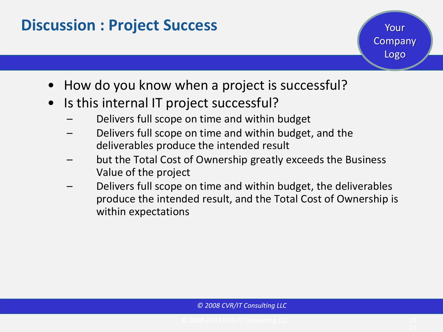- Your Company Logo
- How do you know when a project is successful?
- Is this internal IT project successful?
	- Delivers full scope on time and within budget
	- Delivers full scope on time and within budget, and the deliverables produce the intended result
	- but the Total Cost of Ownership greatly exceeds the Business Value of the project
	- Delivers full scope on time and within budget, the deliverables produce the intended result, and the Total Cost of Ownership is within expectations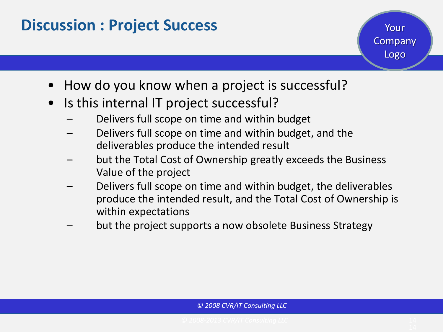- Your Company Logo
- How do you know when a project is successful?
- Is this internal IT project successful?
	- Delivers full scope on time and within budget
	- Delivers full scope on time and within budget, and the deliverables produce the intended result
	- but the Total Cost of Ownership greatly exceeds the Business Value of the project
	- Delivers full scope on time and within budget, the deliverables produce the intended result, and the Total Cost of Ownership is within expectations
	- but the project supports a now obsolete Business Strategy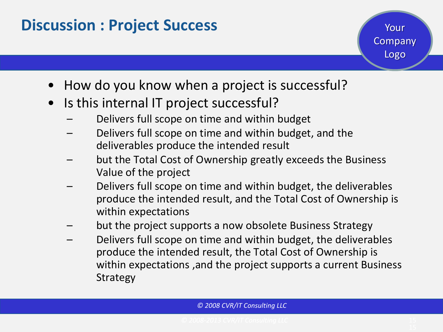- Your Company Logo
- How do you know when a project is successful?
- Is this internal IT project successful?
	- Delivers full scope on time and within budget
	- Delivers full scope on time and within budget, and the deliverables produce the intended result
	- but the Total Cost of Ownership greatly exceeds the Business Value of the project
	- Delivers full scope on time and within budget, the deliverables produce the intended result, and the Total Cost of Ownership is within expectations
	- but the project supports a now obsolete Business Strategy
	- Delivers full scope on time and within budget, the deliverables produce the intended result, the Total Cost of Ownership is within expectations ,and the project supports a current Business Strategy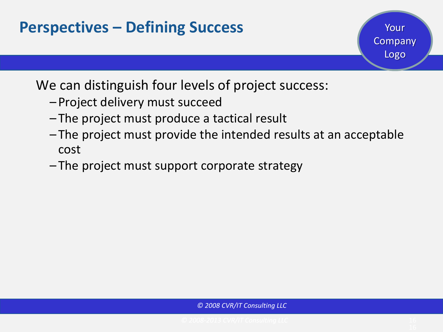#### **Perspectives – Defining Success**

We can distinguish four levels of project success:

- –Project delivery must succeed
- The project must produce a tactical result
- The project must provide the intended results at an acceptable cost
- The project must support corporate strategy

Your

Company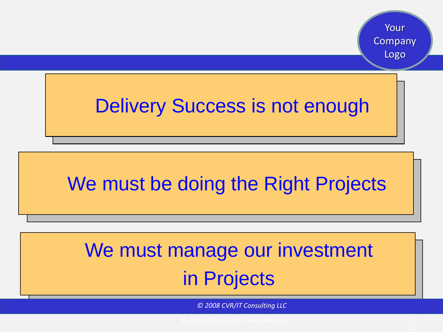## Delivery Success is not enough

## We must be doing the Right Projects

## We must manage our investment in Projects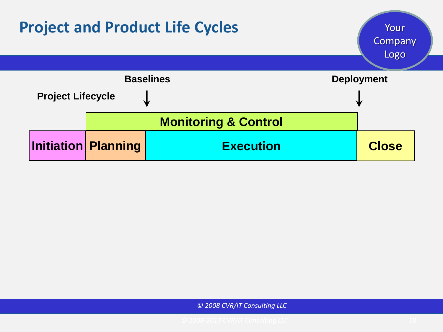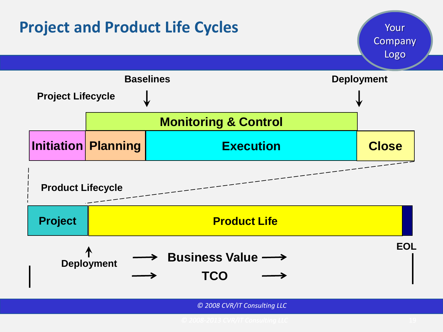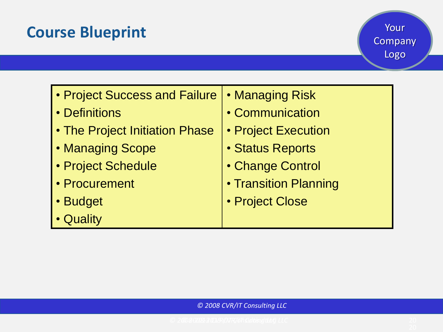#### **Course Blueprint**

| • Project Success and Failure  | <b>• Managing Risk</b>  |
|--------------------------------|-------------------------|
| • Definitions                  | • Communication         |
| • The Project Initiation Phase | • Project Execution     |
| • Managing Scope               | <b>· Status Reports</b> |
| · Project Schedule             | • Change Control        |
| • Procurement                  | • Transition Planning   |
| · Budget                       | • Project Close         |
| • Quality                      |                         |